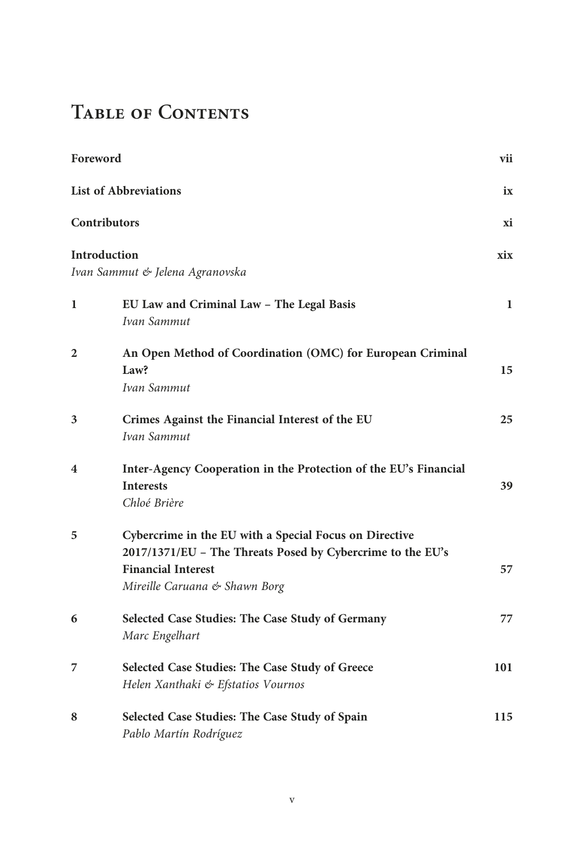## TABLE OF CONTENTS

| Foreword                |                                                                                                                                                                                    | vii |
|-------------------------|------------------------------------------------------------------------------------------------------------------------------------------------------------------------------------|-----|
|                         | <b>List of Abbreviations</b>                                                                                                                                                       | ix  |
| <b>Contributors</b>     |                                                                                                                                                                                    | хi  |
| Introduction            | Ivan Sammut & Jelena Agranovska                                                                                                                                                    | xix |
| 1                       | EU Law and Criminal Law - The Legal Basis<br>Ivan Sammut                                                                                                                           | 1   |
| 2                       | An Open Method of Coordination (OMC) for European Criminal<br>Law?<br>Ivan Sammut                                                                                                  | 15  |
| 3                       | Crimes Against the Financial Interest of the EU<br>Ivan Sammut                                                                                                                     | 25  |
| $\overline{\mathbf{4}}$ | Inter-Agency Cooperation in the Protection of the EU's Financial<br><b>Interests</b><br>Chloé Brière                                                                               | 39  |
| 5                       | Cybercrime in the EU with a Special Focus on Directive<br>2017/1371/EU - The Threats Posed by Cybercrime to the EU's<br><b>Financial Interest</b><br>Mireille Caruana & Shawn Borg | 57  |
| 6                       | Selected Case Studies: The Case Study of Germany<br>Marc Engelhart                                                                                                                 | 77  |
| 7                       | Selected Case Studies: The Case Study of Greece<br>Helen Xanthaki & Efstatios Vournos                                                                                              | 101 |
| 8                       | Selected Case Studies: The Case Study of Spain<br>Pablo Martín Rodríguez                                                                                                           | 115 |